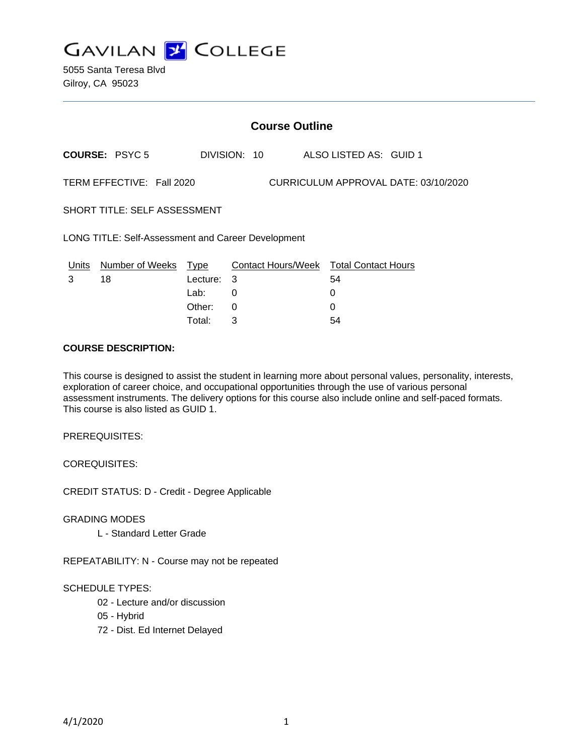

|                                                                   | <b>Course Outline</b> |                          |              |  |                                                   |  |  |
|-------------------------------------------------------------------|-----------------------|--------------------------|--------------|--|---------------------------------------------------|--|--|
|                                                                   | <b>COURSE: PSYC 5</b> |                          | DIVISION: 10 |  | ALSO LISTED AS: GUID 1                            |  |  |
| TERM EFFECTIVE: Fall 2020<br>CURRICULUM APPROVAL DATE: 03/10/2020 |                       |                          |              |  |                                                   |  |  |
| <b>SHORT TITLE: SELF ASSESSMENT</b>                               |                       |                          |              |  |                                                   |  |  |
| LONG TITLE: Self-Assessment and Career Development                |                       |                          |              |  |                                                   |  |  |
| Units<br>3                                                        | Number of Weeks<br>18 | Type<br>Lecture:<br>Lab: | 3<br>0       |  | Contact Hours/Week Total Contact Hours<br>54<br>0 |  |  |
|                                                                   |                       | Other:                   | 0            |  | 0                                                 |  |  |

Total: 3 54

#### **COURSE DESCRIPTION:**

This course is designed to assist the student in learning more about personal values, personality, interests, exploration of career choice, and occupational opportunities through the use of various personal assessment instruments. The delivery options for this course also include online and self-paced formats. This course is also listed as GUID 1.

PREREQUISITES:

COREQUISITES:

CREDIT STATUS: D - Credit - Degree Applicable

GRADING MODES

L - Standard Letter Grade

REPEATABILITY: N - Course may not be repeated

#### SCHEDULE TYPES:

- 02 Lecture and/or discussion
- 05 Hybrid
- 72 Dist. Ed Internet Delayed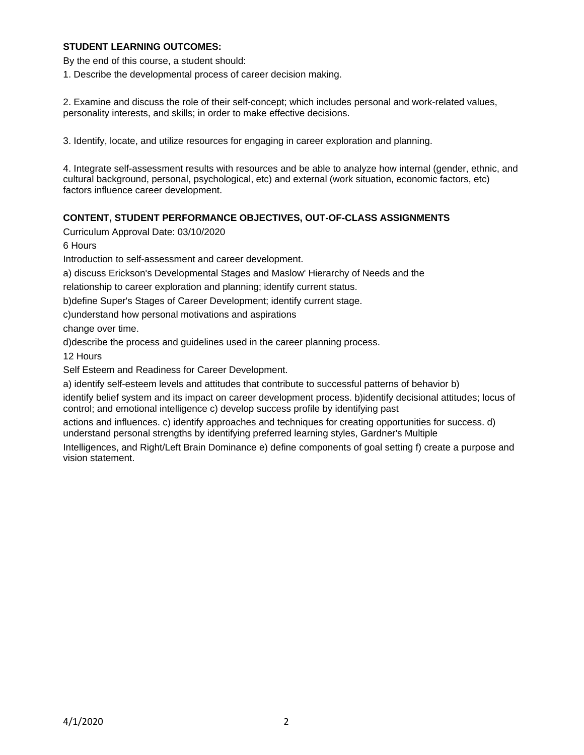## **STUDENT LEARNING OUTCOMES:**

By the end of this course, a student should:

1. Describe the developmental process of career decision making.

2. Examine and discuss the role of their self-concept; which includes personal and work-related values, personality interests, and skills; in order to make effective decisions.

3. Identify, locate, and utilize resources for engaging in career exploration and planning.

4. Integrate self-assessment results with resources and be able to analyze how internal (gender, ethnic, and cultural background, personal, psychological, etc) and external (work situation, economic factors, etc) factors influence career development.

# **CONTENT, STUDENT PERFORMANCE OBJECTIVES, OUT-OF-CLASS ASSIGNMENTS**

Curriculum Approval Date: 03/10/2020

6 Hours

Introduction to self-assessment and career development.

a) discuss Erickson's Developmental Stages and Maslow' Hierarchy of Needs and the

relationship to career exploration and planning; identify current status.

b)define Super's Stages of Career Development; identify current stage.

c)understand how personal motivations and aspirations

change over time.

d)describe the process and guidelines used in the career planning process.

12 Hours

Self Esteem and Readiness for Career Development.

a) identify self-esteem levels and attitudes that contribute to successful patterns of behavior b)

identify belief system and its impact on career development process. b)identify decisional attitudes; locus of control; and emotional intelligence c) develop success profile by identifying past

actions and influences. c) identify approaches and techniques for creating opportunities for success. d) understand personal strengths by identifying preferred learning styles, Gardner's Multiple

Intelligences, and Right/Left Brain Dominance e) define components of goal setting f) create a purpose and vision statement.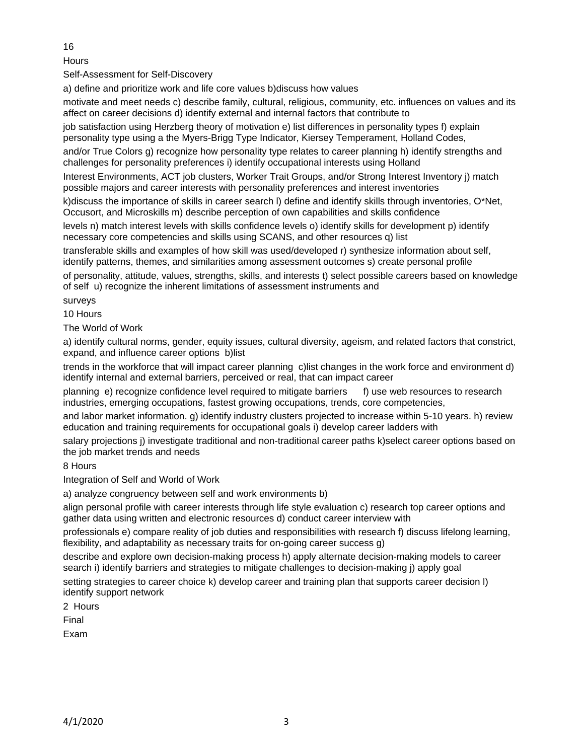16

**Hours** 

Self-Assessment for Self-Discovery

a) define and prioritize work and life core values b)discuss how values

motivate and meet needs c) describe family, cultural, religious, community, etc. influences on values and its affect on career decisions d) identify external and internal factors that contribute to

job satisfaction using Herzberg theory of motivation e) list differences in personality types f) explain personality type using a the Myers-Brigg Type Indicator, Kiersey Temperament, Holland Codes,

and/or True Colors g) recognize how personality type relates to career planning h) identify strengths and challenges for personality preferences i) identify occupational interests using Holland

Interest Environments, ACT job clusters, Worker Trait Groups, and/or Strong Interest Inventory j) match possible majors and career interests with personality preferences and interest inventories

k)discuss the importance of skills in career search l) define and identify skills through inventories, O\*Net, Occusort, and Microskills m) describe perception of own capabilities and skills confidence

levels n) match interest levels with skills confidence levels o) identify skills for development p) identify necessary core competencies and skills using SCANS, and other resources q) list

transferable skills and examples of how skill was used/developed r) synthesize information about self, identify patterns, themes, and similarities among assessment outcomes s) create personal profile

of personality, attitude, values, strengths, skills, and interests t) select possible careers based on knowledge of self u) recognize the inherent limitations of assessment instruments and

surveys

10 Hours

The World of Work

a) identify cultural norms, gender, equity issues, cultural diversity, ageism, and related factors that constrict, expand, and influence career options b)list

trends in the workforce that will impact career planning c)list changes in the work force and environment d) identify internal and external barriers, perceived or real, that can impact career

planning e) recognize confidence level required to mitigate barriers f) use web resources to research industries, emerging occupations, fastest growing occupations, trends, core competencies,

and labor market information. g) identify industry clusters projected to increase within 5-10 years. h) review education and training requirements for occupational goals i) develop career ladders with

salary projections j) investigate traditional and non-traditional career paths k)select career options based on the job market trends and needs

8 Hours

Integration of Self and World of Work

a) analyze congruency between self and work environments b)

align personal profile with career interests through life style evaluation c) research top career options and gather data using written and electronic resources d) conduct career interview with

professionals e) compare reality of job duties and responsibilities with research f) discuss lifelong learning, flexibility, and adaptability as necessary traits for on-going career success g)

describe and explore own decision-making process h) apply alternate decision-making models to career search i) identify barriers and strategies to mitigate challenges to decision-making j) apply goal

setting strategies to career choice k) develop career and training plan that supports career decision l) identify support network

2 Hours

Final

Exam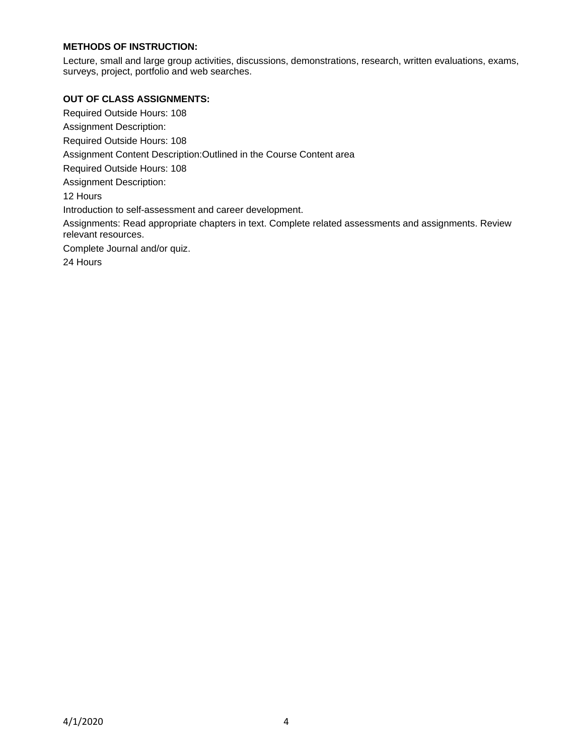# **METHODS OF INSTRUCTION:**

Lecture, small and large group activities, discussions, demonstrations, research, written evaluations, exams, surveys, project, portfolio and web searches.

#### **OUT OF CLASS ASSIGNMENTS:**

Required Outside Hours: 108 Assignment Description: Required Outside Hours: 108 Assignment Content Description:Outlined in the Course Content area Required Outside Hours: 108 Assignment Description: 12 Hours Introduction to self-assessment and career development. Assignments: Read appropriate chapters in text. Complete related assessments and assignments. Review relevant resources. Complete Journal and/or quiz. 24 Hours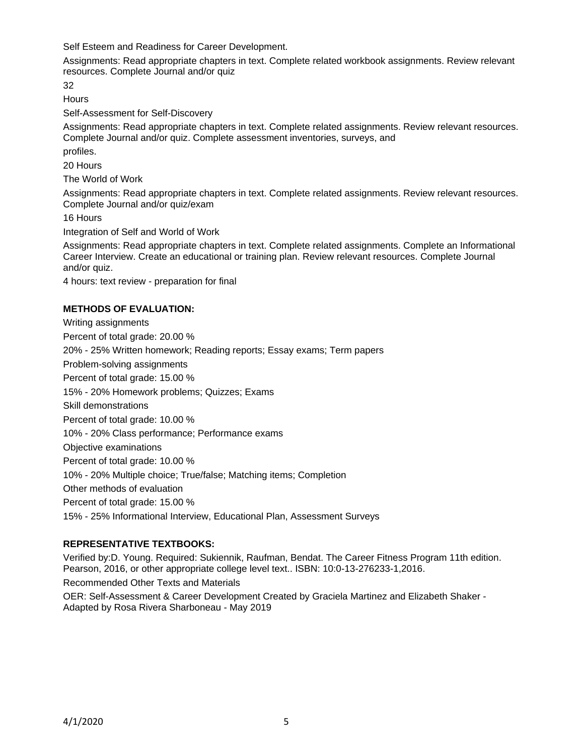Self Esteem and Readiness for Career Development.

Assignments: Read appropriate chapters in text. Complete related workbook assignments. Review relevant resources. Complete Journal and/or quiz

32

**Hours** 

Self-Assessment for Self-Discovery

Assignments: Read appropriate chapters in text. Complete related assignments. Review relevant resources. Complete Journal and/or quiz. Complete assessment inventories, surveys, and

profiles.

20 Hours

The World of Work

Assignments: Read appropriate chapters in text. Complete related assignments. Review relevant resources. Complete Journal and/or quiz/exam

16 Hours

Integration of Self and World of Work

Assignments: Read appropriate chapters in text. Complete related assignments. Complete an Informational Career Interview. Create an educational or training plan. Review relevant resources. Complete Journal and/or quiz.

4 hours: text review - preparation for final

# **METHODS OF EVALUATION:**

Writing assignments Percent of total grade: 20.00 % 20% - 25% Written homework; Reading reports; Essay exams; Term papers Problem-solving assignments Percent of total grade: 15.00 % 15% - 20% Homework problems; Quizzes; Exams Skill demonstrations Percent of total grade: 10.00 % 10% - 20% Class performance; Performance exams Objective examinations Percent of total grade: 10.00 % 10% - 20% Multiple choice; True/false; Matching items; Completion Other methods of evaluation Percent of total grade: 15.00 % 15% - 25% Informational Interview, Educational Plan, Assessment Surveys

### **REPRESENTATIVE TEXTBOOKS:**

Verified by:D. Young. Required: Sukiennik, Raufman, Bendat. The Career Fitness Program 11th edition. Pearson, 2016, or other appropriate college level text.. ISBN: 10:0-13-276233-1,2016.

Recommended Other Texts and Materials

OER: Self-Assessment & Career Development Created by Graciela Martinez and Elizabeth Shaker - Adapted by Rosa Rivera Sharboneau - May 2019